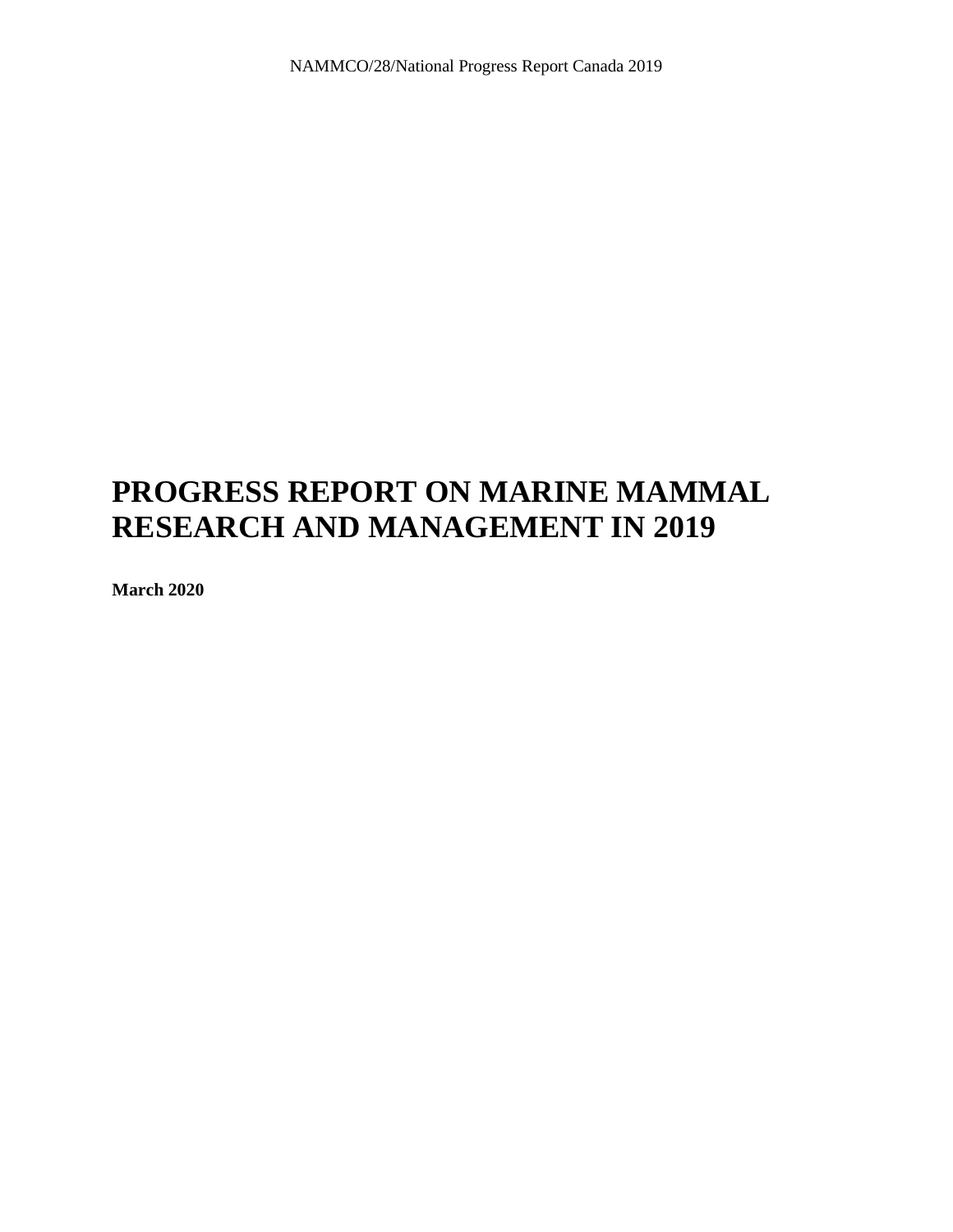# **PROGRESS REPORT ON MARINE MAMMAL RESEARCH AND MANAGEMENT IN 2019**

**March 2020**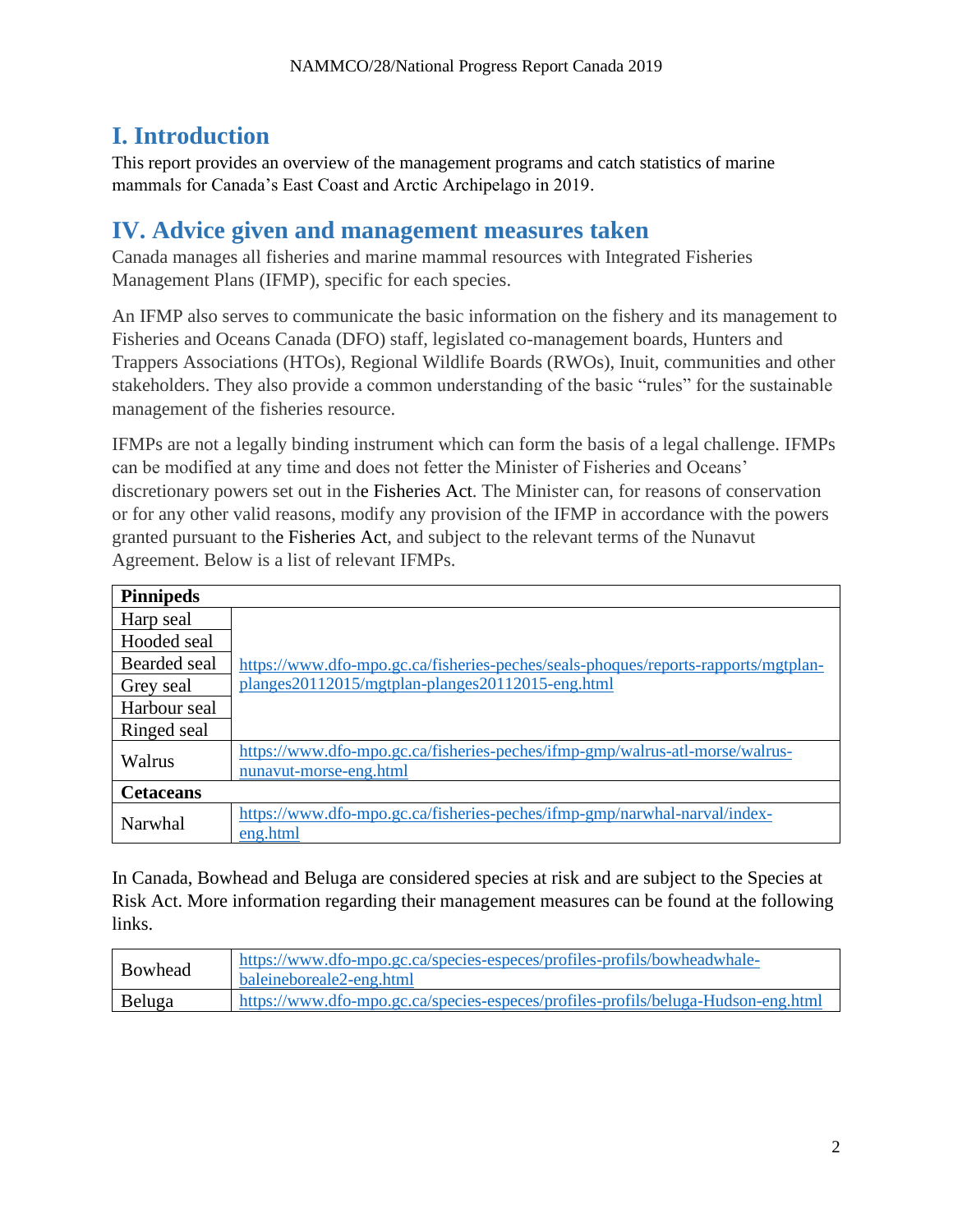## **I. Introduction**

This report provides an overview of the management programs and catch statistics of marine mammals for Canada's East Coast and Arctic Archipelago in 2019.

### **IV. Advice given and management measures taken**

Canada manages all fisheries and marine mammal resources with Integrated Fisheries Management Plans (IFMP), specific for each species.

An IFMP also serves to communicate the basic information on the fishery and its management to Fisheries and Oceans Canada (DFO) staff, legislated co-management boards, Hunters and Trappers Associations (HTOs), Regional Wildlife Boards (RWOs), Inuit, communities and other stakeholders. They also provide a common understanding of the basic "rules" for the sustainable management of the fisheries resource.

IFMPs are not a legally binding instrument which can form the basis of a legal challenge. IFMPs can be modified at any time and does not fetter the Minister of Fisheries and Oceans' discretionary powers set out in the [Fisheries Act.](http://laws-lois.justice.gc.ca/eng/acts/f-14/) The Minister can, for reasons of conservation or for any other valid reasons, modify any provision of the IFMP in accordance with the powers granted pursuant to the [Fisheries Act,](http://laws-lois.justice.gc.ca/eng/acts/f-14/) and subject to the relevant terms of the Nunavut Agreement. Below is a list of relevant IFMPs.

| <b>Pinnipeds</b> |                                                                                                        |
|------------------|--------------------------------------------------------------------------------------------------------|
| Harp seal        |                                                                                                        |
| Hooded seal      |                                                                                                        |
| Bearded seal     | https://www.dfo-mpo.gc.ca/fisheries-peches/seals-phoques/reports-rapports/mgtplan-                     |
| Grey seal        | planges20112015/mgtplan-planges20112015-eng.html                                                       |
| Harbour seal     |                                                                                                        |
| Ringed seal      |                                                                                                        |
| Walrus           | https://www.dfo-mpo.gc.ca/fisheries-peches/ifmp-gmp/walrus-atl-morse/walrus-<br>nunavut-morse-eng.html |
| <b>Cetaceans</b> |                                                                                                        |
| Narwhal          | https://www.dfo-mpo.gc.ca/fisheries-peches/ifmp-gmp/narwhal-narval/index-<br>eng.html                  |

In Canada, Bowhead and Beluga are considered species at risk and are subject to the Species at Risk Act. More information regarding their management measures can be found at the following links.

| <b>Bowhead</b> | https://www.dfo-mpo.gc.ca/species-especes/profiles-profils/bowheadwhale-<br>baleineboreale2-eng.html |
|----------------|------------------------------------------------------------------------------------------------------|
| Beluga         | https://www.dfo-mpo.gc.ca/species-especes/profiles-profils/beluga-Hudson-eng.html                    |